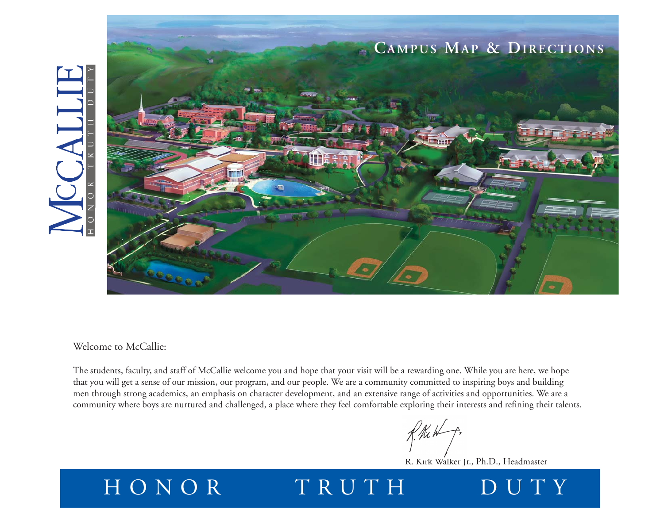

Welcome to McCallie:

The students, faculty, and staff of McCallie welcome you and hope that your visit will be a rewarding one. While you are here, we hope that you will get a sense of our mission, our program, and our people. We are a community committed to inspiring boys and building men through strong academics, an emphasis on character development, and an extensive range of activities and opportunities. We are a community where boys are nurtured and challenged, a place where they feel comfortable exploring their interests and refining their talents.

R. Kirk Walker Jr., Ph.D., Headmaster

## HONOR TRUTH DUTY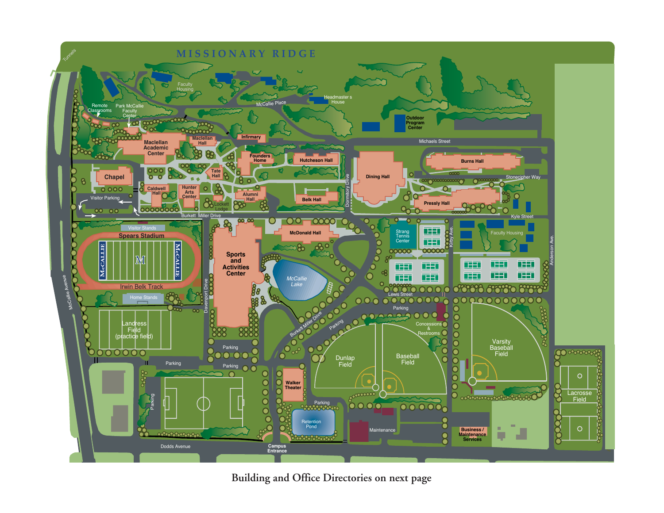

**Building and Office Directories on next page**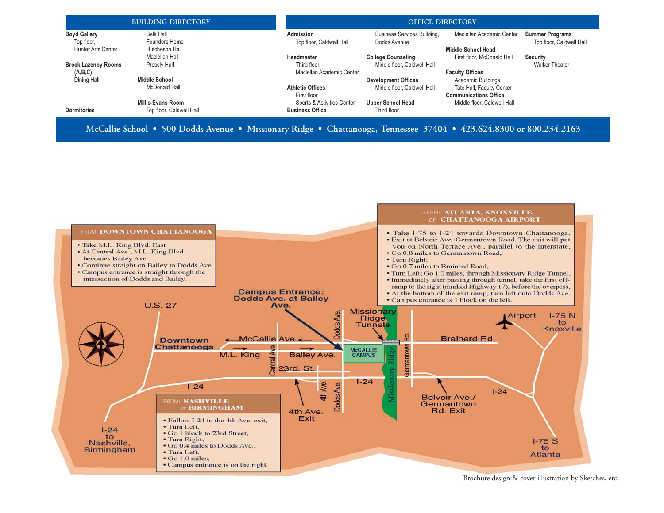| <b>BUILDING DIRECTORY</b>                                                                                           |                            |                                              | <b>OFFICE DIRECTORY</b>                     |                                                           |                                                    |  |
|---------------------------------------------------------------------------------------------------------------------|----------------------------|----------------------------------------------|---------------------------------------------|-----------------------------------------------------------|----------------------------------------------------|--|
| <b>Boyd Gallery</b><br>Top floor,                                                                                   | Belk Hall<br>Founders Home | <b>Admission</b><br>Top floor, Caldwell Hall | Business Services Building,<br>Dodds Avenue | Maclellan Academic Center                                 | <b>Summer Programs</b><br>Top floor, Caldwell Hall |  |
| Hunter Arts Center                                                                                                  | Hutcheson Hall             |                                              |                                             | Middle School Head                                        |                                                    |  |
|                                                                                                                     | Maclellan Hall             | Headmaster                                   | <b>College Counseling</b>                   | First floor. McDonald Hall                                | Security                                           |  |
| <b>Brock Lazenby Rooms</b>                                                                                          | Pressly Hall               | Third floor.                                 | Middle floor, Caldwell Hall                 |                                                           | <b>Walker Theater</b>                              |  |
| (A,B,C)                                                                                                             |                            | Maclellan Academic Center                    |                                             | <b>Faculty Offices</b>                                    |                                                    |  |
| Dining Hall                                                                                                         | <b>Middle School</b>       |                                              | <b>Development Offices</b>                  | Academic Buildings,                                       |                                                    |  |
|                                                                                                                     | McDonald Hall              | <b>Athletic Offices</b><br>First floor.      | Middle floor. Caldwell Hall                 | Tate Hall, Faculty Center<br><b>Communications Office</b> |                                                    |  |
|                                                                                                                     | <b>Millis-Evans Room</b>   | Sports & Activities Center                   | <b>Upper School Head</b>                    | Middle floor, Caldwell Hall                               |                                                    |  |
| <b>Dormitories</b>                                                                                                  | Top floor, Caldwell Hall   | <b>Business Office</b>                       | Third floor.                                |                                                           |                                                    |  |
| McCallie School • 500 Dodds Avenue • Missionary Ridge • Chattanooga, Tennessee 37404 • 423.624.8300 or 800.234.2163 |                            |                                              |                                             |                                                           |                                                    |  |



Brochure design & cover illustration by Sketches, etc.